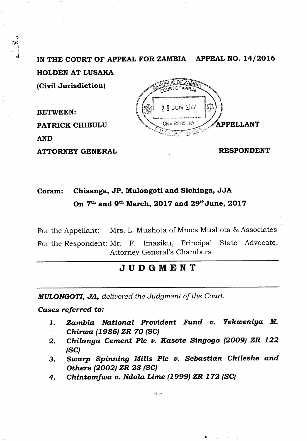**IN THE COURT OF APPEAL FOR ZAMBIA APPEAL NO. 14/2016 HOLDEN AT LUSAKA (Civil Jurisdiction)** 

**BETWEEN: PATRICK CHIBULU AND** 

**ATTORNEY GENERAL** 

 $9$  JUN  $201$ Δp **APPELLANT** 

**RESPONDENT** 

## **Coram: Chisanga, JP, Mulongoti and Sichinga, JJA**  On 7<sup>th</sup> and 9<sup>th</sup> March, 2017 and 29<sup>th</sup>June, 2017

For the Appellant: Mrs. L. Mushota of Mmes Mushota & Associates

For the Respondent: Mr. F. Imasiku, Principal State Advocate, Attorney General's Chambers

## **JUDGMENT**

*MULONGOTI, JA, delivered the Judgment of the Court.* 

*Cases referred to:* 

- *Zambia National Provident Fund v. Yekweniya M.*   $1.$ *Chirwa (1986) ZR 70 (SC)*
- *Chilanga Cement Plc v. Kasote Singogo (2009) ZR 122*   $2.$ *(SC)*
- *Swarp Spinning Mills Plc v. Sebastian Chileshe and*  3. *Others (2002) ZR 23 (SC)*
- *Chintomfwa v. Ndola Lime (1999) ZR 172* **(SC)** 4.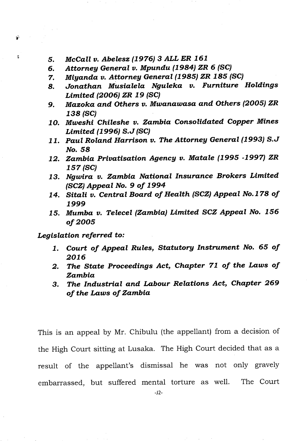- *McCall v. Abelesz (1976) 3 ALL ER 161*  5.
- *Attorney General v. Mpundu (1984) ZR 6* **(SC)**  б.
- *Miyanda v. Attorney General (1985) ZR 185 (SC)*  7.
- *Jonathan Musialela Nguleka v. Furniture Holdings*  8. *Limited (2006) ZR 19* **(SC)**
- *Mazoka and Others v. Mwanawasa and Others (2005) ZR*  9. *138* **(SC)**
- *Mweshi Chileshe v. Zambia Consolidated Copper Mines Limited (1996) S.J (SC)*
- *Paul Roland Harrison v. The Attorney General (1993) S.J No. 58*
- *Zambia Privatisation Agency v. Matale (1995 -1997) ZR 157 (SC)*
- *Ngwira v. Zambia National Insurance Brokers Limited (SCZ) Appeal No. 9 of 1994*
- *Sitali v. Central Board of Health (SCZ) Appeal No.178 of*  14. *1999*
- *Mumba v. Telecel (Zambia) Limited SCZ Appeal No. 156 of 2005*

## *Legislation referred to:*

Ŷ

Ľ,

- *I. Court of Appeal Rules, Statutory Instrument No. 65 of 2016*
- *The State Proceedings Act, Chapter 71 of the Laws of*  2. *Zambia*
- *The Industrial and Labour Relations Act, Chapter 269*  3. *of the Laws of Zambia*

This is an appeal by Mr. Chibulu (the appellant) from a decision of the High Court sitting at Lusaka. The High Court decided that as a result of the appellant's dismissal he was not only gravely embarrassed, but suffered mental torture as well. The Court

-J2-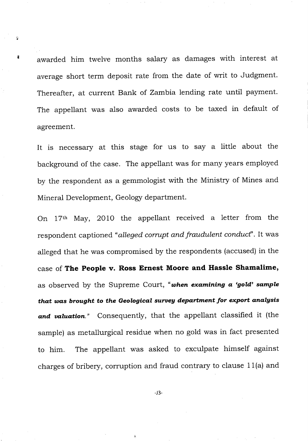awarded him twelve months salary as damages with interest at average short term deposit rate from the date of writ to Judgment. Thereafter, at current Bank of Zambia lending rate until payment. The appellant was also awarded costs to be taxed in default of agreement.

х

It is necessary at this stage for us to say a little about the background of the case. The appellant was for many years employed by the respondent as a gemmologist with the Ministry of Mines and Mineral Development, Geology department.

On 17th May, 2010 the appellant received a letter from the respondent captioned *"alleged corrupt and fraudulent conduct".* It was alleged that he was compromised by the respondents (accused) in the case of **The People v. Ross Ernest Moore and Hassle Shamalime,**  as observed by the Supreme Court, *"when examining a 'gold' sample that was brought to the Geological survey department for export analysis and valuation."* Consequently, that the appellant classified it (the sample) as metallurgical residue when no gold was in fact presented to him. The appellant was asked to exculpate himself against charges of bribery, corruption and fraud contrary to clause 11(a) and

-J3-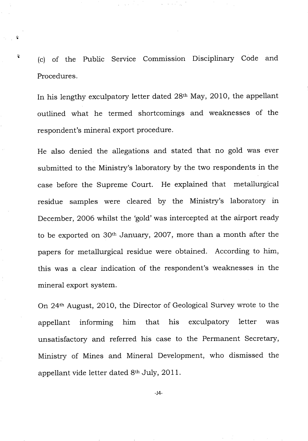(c) of the Public Service Commission Disciplinary Code and Procedures.

ę.

In his lengthy exculpatory letter dated 28th May, 2010, the appellant outlined what he termed shortcomings and weaknesses of the respondent's mineral export procedure.

He also denied the allegations and stated that no gold was ever submitted to the Ministry's laboratory by the two respondents in the case before the Supreme Court. He explained that metallurgical residue samples were cleared by the Ministry's laboratory in December, 2006 whilst the 'gold' was intercepted at the airport ready to be exported on 30th January, 2007, more than a month after the papers for metallurgical residue were obtained. According to him, this was a clear indication of the respondent's weaknesses in the mineral export system.

On 24th August, 2010, the Director of Geological Survey wrote to the appellant informing him that his exculpatory letter was unsatisfactory and referred his case to the Permanent Secretary, Ministry of Mines and Mineral Development, who dismissed the appellant vide letter dated 8th July, 2011.

-J4-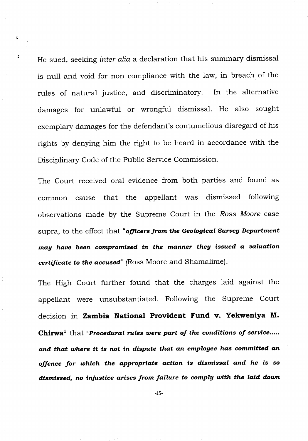He sued, seeking *inter alia* a declaration that his summary dismissal is null and void for non compliance with the law, in breach of the rules of natural justice, and discriminatory. In the alternative damages for unlawful or wrongful dismissal. He also sought exemplary damages for the defendant's contumelious disregard of his rights by denying him the right to be heard in accordance with the Disciplinary Code of the Public Service Commission.

ã

The Court received oral evidence from both parties and found as common cause that the appellant was dismissed following observations made by the Supreme Court in the *Ross Moore* case supra, to the effect that *"officers from the Geological Survey Department may have been compromised in the manner they issued a valuation certificate to the accused"* (Ross Moore and Shamalime).

The High Court further found that the charges laid against the appellant were unsubstantiated. Following the Supreme Court decision in **Zambia National Provident Fund v. Yekweniya M. Chirwa**<sup>1</sup> that "Procedural rules were part of the conditions of service..... *and that where it is not in dispute that an employee has committed an offence for which the appropriate action is dismissal and he is so dismissed, no injustice arises from failure to comply with the laid down* 

-J5-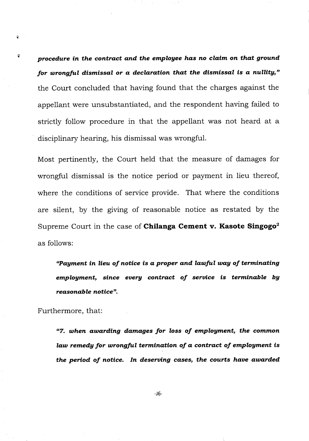*procedure in the contract and the employee has no claim on that ground for wrongful dismissal or a declaration that the dismissal is a nullity,"*  the Court concluded that having found that the charges against the appellant were unsubstantiated, and the respondent having failed to strictly follow procedure in that the appellant was not heard at a disciplinary hearing, his dismissal was wrongful.

Most pertinently, the Court held that the measure of damages for wrongful dismissal is the notice period or payment in lieu thereof, where the conditions of service provide. That where the conditions are silent, by the giving of reasonable notice as restated by the Supreme Court in the case of **Chilanga Cement v. Kasote Singogo2**  as follows:

*"Payment in lieu of notice is a proper and lawful way of terminating employment, since every contract of service is terminable by reasonable notice".* 

Furthermore, that:

ŵ

÷,

*"7. when awarding damages for loss of employment, the common law remedy for wrongful termination of a contract of employment is the period of notice. In deserving cases, the courts have awarded*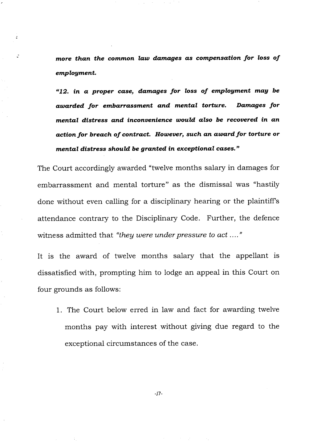*more than the common law damages as compensation for loss of employment.* 

G.

*"12. in a proper case, damages for loss of employment may be awarded for embarrassment and mental torture. Damages for mental distress and inconvenience would also be recovered in an action for breach of contract. However, such an award for torture or mental distress should be granted in exceptional cases."* 

The Court accordingly awarded "twelve months salary in damages for embarrassment and mental torture" as the dismissal was "hastily done without even calling for a disciplinary hearing or the plaintiff's attendance contrary to the Disciplinary Code. Further, the defence witness admitted that *"they were under pressure to act ...."* 

It is the award of twelve months salary that the appellant is dissatisfied with, prompting him to lodge an appeal in this Court on four grounds as follows:

1. The Court below erred in law and fact for awarding twelve months pay with interest without giving due regard to the exceptional circumstances of the case.

-17-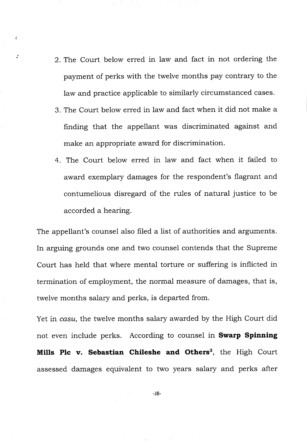2. The Court below erred in law and fact in not ordering the payment of perks with the twelve months pay contrary to the law and practice applicable to similarly circumstanced cases.

¢

 $\mathcal{I}$ 

- The Court below erred in law and fact when it did not make a finding that the appellant was discriminated against and make an appropriate award for discrimination.
- The Court below erred in law and fact when it failed to award exemplary damages for the respondent's flagrant and contumelious disregard of the rules of natural justice to be accorded a hearing.

The appellant's counsel also filed a list of authorities and arguments. In arguing grounds one and two counsel contends that the Supreme Court has held that where mental torture or suffering is inflicted in termination of employment, the normal measure of damages, that is, twelve months salary and perks, is departed from.

Yet in *casu,* the twelve months salary awarded by the High Court did not even include perks. According to counsel in **Swarp Spinning Mills Plc v. Sebastian Chileshe and Others',** the High Court assessed damages equivalent to two years salary and perks after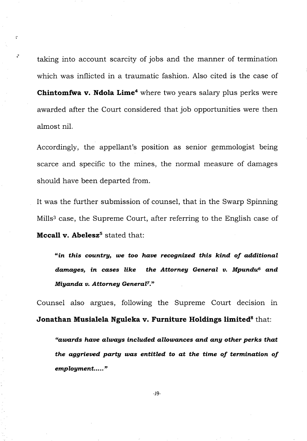taking into account scarcity of jobs and the manner of termination which was inflicted in a traumatic fashion. Also cited is the case of **Chintomfwa v. Ndola Lime'** where two years salary plus perks were awarded after the Court considered that job opportunities were then almost nil.

Accordingly, the appellant's position as senior gemmologist being scarce and specific to the mines, the normal measure of damages should have been departed from.

It was the further submission of counsel, that in the Swarp Spinning Mills<sup>3</sup> case, the Supreme Court, after referring to the English case of **Mccall v. Abelesz<sup>5</sup> stated that:** 

*"in this country, we too have recognized this kind of additional*  damages, in cases like the Attorney General v. Mpundu<sup>6</sup> and *Miyanda v. Attorney General7."* 

Counsel also argues, following the Supreme Court decision in **Jonathan Musialela Nguleka v. Furniture Holdings limited<sup>8</sup> that:** 

*"awards have always included allowances and any other perks that the aggrieved party was entitled to at the time of termination of employment.....*"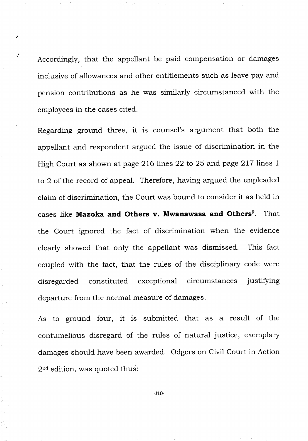Accordingly, that the appellant be paid compensation or damages inclusive of allowances and other entitlements such as leave pay and pension contributions as he was similarly circumstanced with the employees in the cases cited.

Regarding ground three, it is counsel's argument that both the appellant and respondent argued the issue of discrimination in the High Court as shown at page 216 lines 22 to 25 and page 217 lines 1 to 2 of the record of appeal. Therefore, having argued the unpleaded claim of discrimination, the Court was bound to consider it as held in cases like **Mazoka and Others v. Mwanawasa and Others9.** That the Court ignored the fact of discrimination when the evidence clearly showed that only the appellant was dismissed. This fact coupled with the fact, that the rules of the disciplinary code were disregarded constituted exceptional circumstances justifying departure from the normal measure of damages.

As to ground four, it is submitted that as a result of the contumelious disregard of the rules of natural justice, exemplary damages should have been awarded. Odgers on Civil Court in Action  $2<sup>nd</sup>$  edition, was quoted thus:

-J10-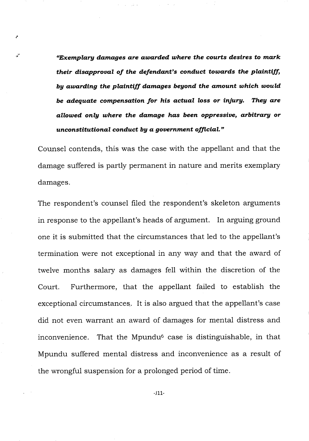*"Exemplary damages are awarded where the courts desires to mark their disapproval of the defendant's conduct towards the plaintiff, by awarding the plaintiff damages beyond the amount which would be adequate compensation for his actual loss or injury. They are allowed only where the damage has been oppressive, arbitrary or unconstitutional conduct by a government official."* 

Counsel contends, this was the case with the appellant and that the damage suffered is partly permanent in nature and merits exemplary damages.

The respondent's counsel filed the respondent's skeleton arguments in response to the appellant's heads of argument. In arguing ground one it is submitted that the circumstances that led to the appellant's termination were not exceptional in any way and that the award of twelve months salary as damages fell within the discretion of the Court. Furthermore, that the appellant failed to establish the exceptional circumstances. It is also argued that the appellant's case did not even warrant an award of damages for mental distress and inconvenience. That the Mpundu<sup> $6$ </sup> case is distinguishable, in that Mpundu suffered mental distress and inconvenience as a result of the wrongful suspension for a prolonged period of time.

-J11-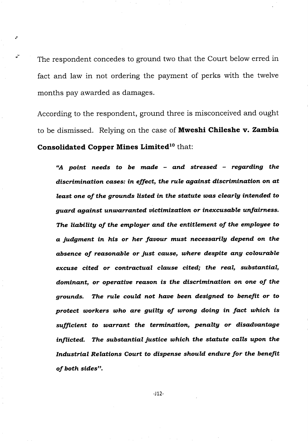The respondent concedes to ground two that the Court below erred in fact and law in not ordering the payment of perks with the twelve months pay awarded as damages.

According to the respondent, ground three is misconceived and ought to be dismissed. Relying on the case of **Mweshi Chileshe v. Zambia Consolidated Copper Mines Limited<sup>10</sup> that:** 

*"A point needs to be made - and stressed - regarding the discrimination cases: in effect, the rule against discrimination on at least one of the grounds listed in the statute was clearly intended to guard against unwarranted victimization or inexcusable unfairness. The liability of the employer and the entitlement of the employee to a judgment in his or her favour must necessarily depend on the absence of reasonable or just cause, where despite any colourable excuse cited or contractual clause cited; the real, substantial, dominant, or operative reason is the discrimination on one of the grounds. The rule could not have been designed to benefit or to protect workers who are guilty of wrong doing in fact which is sufficient to warrant the termination, penalty or disadvantage inflicted. The substantial justice which the statute calls upon the Industrial Relations Court to dispense should endure for the benefit of both sides".*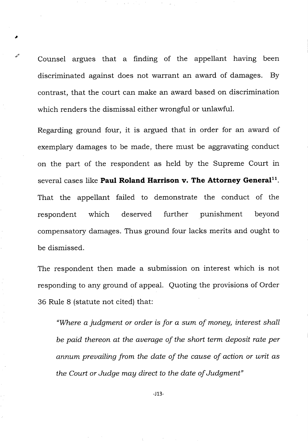Counsel argues that a finding of the appellant having been discriminated against does not warrant an award of damages. By contrast, that the court can make an award based on discrimination which renders the dismissal either wrongful or unlawful.

Regarding ground four, it is argued that in order for an award of exemplary damages to be made, there must be aggravating conduct on the part of the respondent as held by the Supreme Court in several cases like **Paul Roland Harrison v. The Attorney General".**  That the appellant failed to demonstrate the conduct of the respondent which deserved further punishment beyond compensatory damages. Thus ground four lacks merits and ought to be dismissed.

The respondent then made a submission on interest which is not responding to any ground of appeal. Quoting the provisions of Order 36 Rule 8 (statute not cited) that:

*"Where a judgment or order is for a sum of money, interest shall be paid thereon at the average of the short term deposit rate per annum prevailing from the date of the cause of action or writ as the Court or Judge may direct to the date of Judgment"* 

-J13-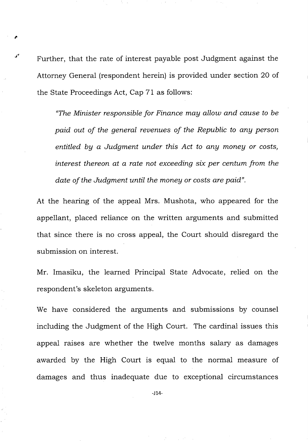Further, that the rate of interest payable post Judgment against the Attorney General (respondent herein) is provided under section 20 of the State Proceedings Act, Cap 71 as follows:

*"The Minister responsible for Finance may allow and cause to be paid out of the general revenues of the Republic to any person entitled by a Judgment under this Act to any money or costs, interest thereon at a rate not exceeding six per centum from the date of the Judgment until the money or costs are paid".* 

At the hearing of the appeal Mrs. Mushota, who appeared for the appellant, placed reliance on the written arguments and submitted that since there is no cross appeal, the Court should disregard the submission on interest.

Mr. Imasiku, the learned Principal State Advocate, relied on the respondent's skeleton arguments.

We have considered the arguments and submissions by counsel including the Judgment of the High Court. The cardinal issues this appeal raises are whether the twelve months salary as damages awarded by the High Court is equal to the normal measure of damages and thus inadequate due to exceptional circumstances

-J 14-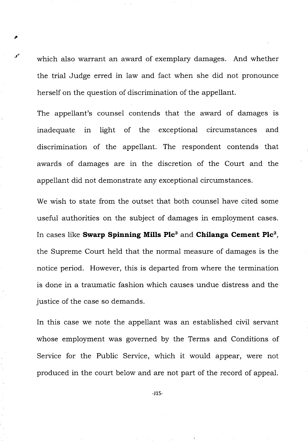which also warrant an award of exemplary damages. And whether the trial Judge erred in law and fact when she did not pronounce herself on the question of discrimination of the appellant.

The appellant's counsel contends that the award of damages is inadequate in light of the exceptional circumstances and discrimination of the appellant. The respondent contends that awards of damages are in the discretion of the Court and the appellant did not demonstrate any exceptional circumstances.

We wish to state from the outset that both counsel have cited some useful authorities on the subject of damages in employment cases. In cases like **Swarp Spinning Mills Plc3** and **Chilanga Cement Plc',**  the Supreme Court held that the normal measure of damages is the notice period. However, this is departed from where the termination is done in a traumatic fashion which causes undue distress and the justice of the case so demands.

In this case we note the appellant was an established civil servant whose employment was governed by the Terms and Conditions of Service for the Public Service, which it would appear, were not produced in the court below and are not part of the record of appeal.

-115-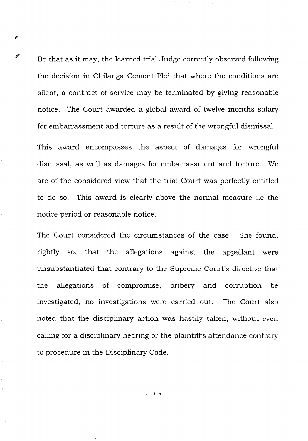Be that as it may, the learned trial Judge correctly observed following the decision in Chilanga Cement Plc<sup>2</sup> that where the conditions are silent, a contract of service may be terminated by giving reasonable notice. The Court awarded a global award of twelve months salary for embarrassment and torture as a result of the wrongful dismissal.

This award encompasses the aspect of damages for wrongful dismissal, as well as damages for embarrassment and torture. We are of the considered view that the trial Court was perfectly entitled to do so. This award is clearly above the normal measure i.e the notice period or reasonable notice.

The Court considered the circumstances of the case. She found, rightly so, that the allegations against the appellant were unsubstantiated that contrary to the Supreme Court's directive that the allegations of compromise, bribery and corruption be investigated, no investigations were carried out. The Court also noted that the disciplinary action was hastily taken, without even calling for a disciplinary hearing or the plaintiff's attendance contrary to procedure in the Disciplinary Code.

-J16-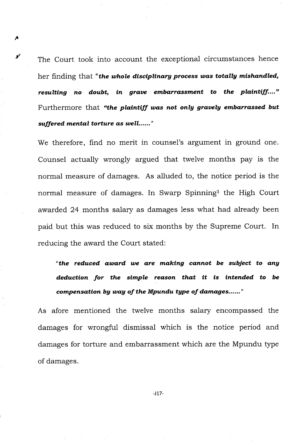The Court took into account the exceptional circumstances hence her finding that *"the whole disciplinary process was totally mishandled, resulting no doubt, in grave embarrassment to the plaintiff...."*  Furthermore that *"the plaintiff was not only gravely embarrassed but*  suffered mental torture as well......"

*A* 

We therefore, find no merit in counsel's argument in ground one. Counsel actually wrongly argued that twelve months pay is the normal measure of damages. As alluded to, the notice period is the normal measure of damages. In Swarp Spinning<sup>3</sup> the High Court awarded 24 months salary as damages less what had already been paid but this was reduced to six months by the Supreme Court. In reducing the award the Court stated:

*"the reduced award we are making cannot be subject to any deduction for the simple reason that it is intended to be compensation by way of the Mpundu type of damages......*"

As afore mentioned the twelve months salary encompassed the damages for wrongful dismissal which is the notice period and damages for torture and embarrassment which are the Mpundu type of damages.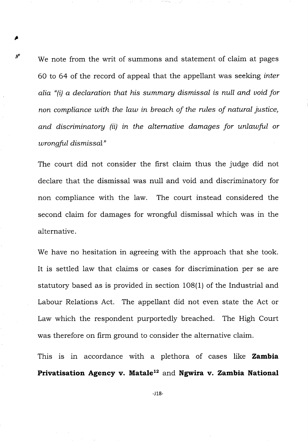We note from the writ of summons and statement of claim at pages 60 to 64 of the record of appeal that the appellant was seeking *inter alia "(i) a declaration that his summary dismissal is null and void for non compliance with the law in breach of the rules of natural justice, and discriminatory (ii) in the alternative damages for unlawful or wrongful dismissal"* 

 $s^{\tau}$ 

The court did not consider the first claim thus the judge did not declare that the dismissal was null and void and discriminatory for non compliance with the law. The court instead considered the second claim for damages for wrongful dismissal which was in the alternative.

We have no hesitation in agreeing with the approach that she took. It is settled law that claims or cases for discrimination per se are statutory based as is provided in section 108(1) of the Industrial and Labour Relations Act. The appellant did not even state the Act or Law which the respondent purportedly breached. The High Court was therefore on firm ground to consider the alternative claim.

This is in accordance with a plethora of cases like **Zambia**  Privatisation Agency v. Matale<sup>12</sup> and Ngwira v. Zambia National

-118-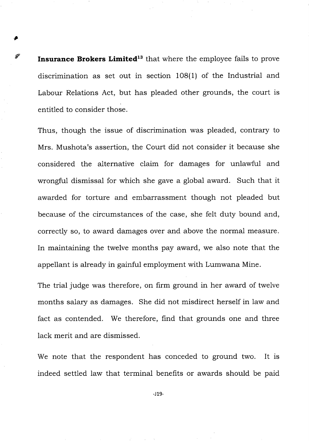**Insurance Brokers Limited<sup>13</sup>** that where the employee fails to prove discrimination as set out in section 108(1) of the Industrial and Labour Relations Act, but has pleaded other grounds, the court is entitled to consider those.

P

Thus, though the issue of discrimination was pleaded, contrary to Mrs. Mushota's assertion, the Court did not consider it because she considered the alternative claim for damages for unlawful and wrongful dismissal for which she gave a global award. Such that it awarded for torture and embarrassment though not pleaded but because of the circumstances of the case, she felt duty bound and, correctly so, to award damages over and above the normal measure. In maintaining the twelve months pay award, we also note that the appellant is already in gainful employment with Lumwana Mine.

The trial judge was therefore, on firm ground in her award of twelve months salary as damages. She did not misdirect herself in law and fact as contended. We therefore, find that grounds one and three lack merit and are dismissed.

We note that the respondent has conceded to ground two. It is indeed settled law that terminal benefits or awards should be paid

 $-J19-$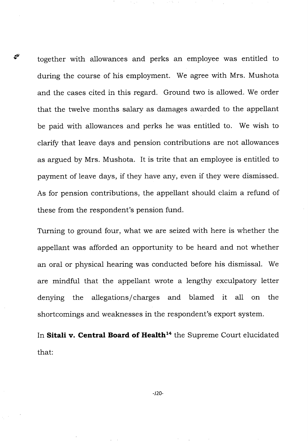together with allowances and perks an employee was entitled to during the course of his employment. We agree with Mrs. Mushota and the cases cited in this regard. Ground two is allowed. We order that the twelve months salary as damages awarded to the appellant be paid with allowances and perks he was entitled to. We wish to clarify that leave days and pension contributions are not allowances as argued by Mrs. Mushota. It is trite that an employee is entitled to payment of leave days, if they have any, even if they were dismissed. As for pension contributions, the appellant should claim a refund of these from the respondent's pension fund.

چج

Turning to ground four, what we are seized with here is whether the appellant was afforded an opportunity to be heard and not whether an oral or physical hearing was conducted before his dismissal. We are mindful that the appellant wrote a lengthy exculpatory letter denying the allegations/charges and blamed it all on the shortcomings and weaknesses in the respondent's export system.

In Sitali v. Central Board of Health<sup>14</sup> the Supreme Court elucidated that: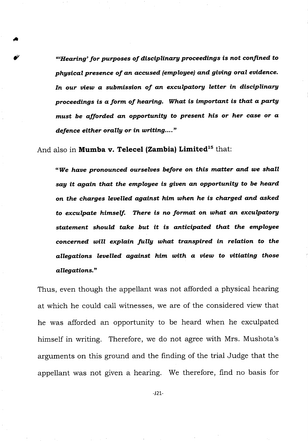*"Hearing' for purposes of disciplinary proceedings is not confined to physical presence of an accused (employee) and giving oral evidence. In our view a submission of an exculpatory letter in disciplinary proceedings is a form of hearing. What is important is that a party must be afforded an opportunity to present his or her case or a defence either orally or in writing...."* 

And also in **Mumba v. Telecel (Zambia) Limited<sup>15</sup> that:** 

*"We have pronounced ourselves before on this matter and we shall say it again that the employee is given an opportunity to be heard on the charges levelled against him when he is charged and asked to exculpate himself. There is no format on what an exculpatory statement should take but it is anticipated that the employee concerned will explain fully what transpired in relation to the allegations levelled against him with a view to vitiating those allegations."* 

Thus, even though the appellant was not afforded a physical hearing at which he could call witnesses, we are of the considered view that he was afforded an opportunity to be heard when he exculpated himself in writing. Therefore, we do not agree with Mrs. Mushota's arguments on this ground and the finding of the trial Judge that the appellant was not given a hearing. We therefore, find no basis for

**-J21-**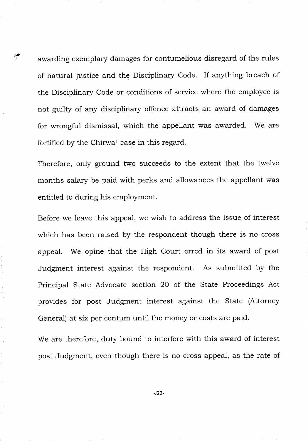awarding exemplary damages for contumelious disregard of the rules of natural justice and the Disciplinary Code. If anything breach of the Disciplinary Code or conditions of service where the employee is not guilty of any disciplinary offence attracts an award of damages for wrongful dismissal, which the appellant was awarded. We are fortified by the Chirwal case in this regard.

Therefore, only ground two succeeds to the extent that the twelve months salary be paid with perks and allowances the appellant was entitled to during his employment.

Before we leave this appeal, we wish to address the issue of interest which has been raised by the respondent though there is no cross appeal. We opine that the High Court erred in its award of post Judgment interest against the respondent. As submitted by the Principal State Advocate section 20 of the State Proceedings Act provides for post Judgment interest against the State (Attorney General) at six per centum until the money or costs are paid.

We are therefore, duty bound to interfere with this award of interest post Judgment, even though there is no cross appeal, as the rate of

-122-